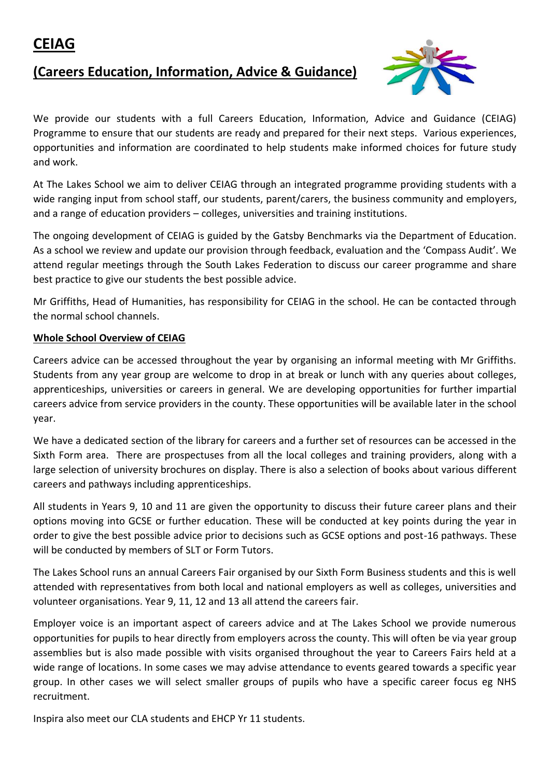# **(Careers Education, Information, Advice & Guidance)**



We provide our students with a full Careers Education, Information, Advice and Guidance (CEIAG) Programme to ensure that our students are ready and prepared for their next steps. Various experiences, opportunities and information are coordinated to help students make informed choices for future study and work.

At The Lakes School we aim to deliver CEIAG through an integrated programme providing students with a wide ranging input from school staff, our students, parent/carers, the business community and employers, and a range of education providers – colleges, universities and training institutions.

The ongoing development of CEIAG is guided by the Gatsby Benchmarks via the Department of Education. As a school we review and update our provision through feedback, evaluation and the 'Compass Audit'. We attend regular meetings through the South Lakes Federation to discuss our career programme and share best practice to give our students the best possible advice.

Mr Griffiths, Head of Humanities, has responsibility for CEIAG in the school. He can be contacted through the normal school channels.

# **Whole School Overview of CEIAG**

Careers advice can be accessed throughout the year by organising an informal meeting with Mr Griffiths. Students from any year group are welcome to drop in at break or lunch with any queries about colleges, apprenticeships, universities or careers in general. We are developing opportunities for further impartial careers advice from service providers in the county. These opportunities will be available later in the school year.

We have a dedicated section of the library for careers and a further set of resources can be accessed in the Sixth Form area. There are prospectuses from all the local colleges and training providers, along with a large selection of university brochures on display. There is also a selection of books about various different careers and pathways including apprenticeships.

All students in Years 9, 10 and 11 are given the opportunity to discuss their future career plans and their options moving into GCSE or further education. These will be conducted at key points during the year in order to give the best possible advice prior to decisions such as GCSE options and post-16 pathways. These will be conducted by members of SLT or Form Tutors.

The Lakes School runs an annual Careers Fair organised by our Sixth Form Business students and this is well attended with representatives from both local and national employers as well as colleges, universities and volunteer organisations. Year 9, 11, 12 and 13 all attend the careers fair.

Employer voice is an important aspect of careers advice and at The Lakes School we provide numerous opportunities for pupils to hear directly from employers across the county. This will often be via year group assemblies but is also made possible with visits organised throughout the year to Careers Fairs held at a wide range of locations. In some cases we may advise attendance to events geared towards a specific year group. In other cases we will select smaller groups of pupils who have a specific career focus eg NHS recruitment.

Inspira also meet our CLA students and EHCP Yr 11 students.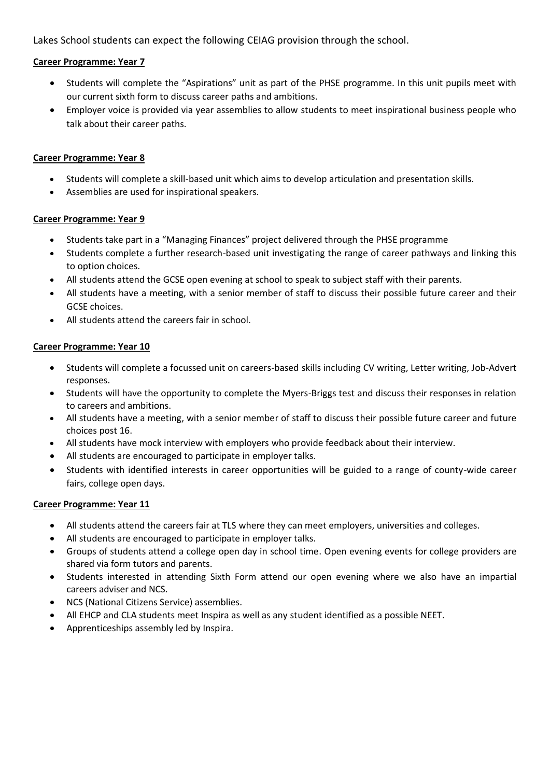Lakes School students can expect the following CEIAG provision through the school.

## **Career Programme: Year 7**

- Students will complete the "Aspirations" unit as part of the PHSE programme. In this unit pupils meet with our current sixth form to discuss career paths and ambitions.
- Employer voice is provided via year assemblies to allow students to meet inspirational business people who talk about their career paths.

#### **Career Programme: Year 8**

- Students will complete a skill-based unit which aims to develop articulation and presentation skills.
- Assemblies are used for inspirational speakers.

#### **Career Programme: Year 9**

- Students take part in a "Managing Finances" project delivered through the PHSE programme
- Students complete a further research-based unit investigating the range of career pathways and linking this to option choices.
- All students attend the GCSE open evening at school to speak to subject staff with their parents.
- All students have a meeting, with a senior member of staff to discuss their possible future career and their GCSE choices.
- All students attend the careers fair in school.

#### **Career Programme: Year 10**

- Students will complete a focussed unit on careers-based skills including CV writing, Letter writing, Job-Advert responses.
- Students will have the opportunity to complete the Myers-Briggs test and discuss their responses in relation to careers and ambitions.
- All students have a meeting, with a senior member of staff to discuss their possible future career and future choices post 16.
- All students have mock interview with employers who provide feedback about their interview.
- All students are encouraged to participate in employer talks.
- Students with identified interests in career opportunities will be guided to a range of county-wide career fairs, college open days.

## **Career Programme: Year 11**

- All students attend the careers fair at TLS where they can meet employers, universities and colleges.
- All students are encouraged to participate in employer talks.
- Groups of students attend a college open day in school time. Open evening events for college providers are shared via form tutors and parents.
- Students interested in attending Sixth Form attend our open evening where we also have an impartial careers adviser and NCS.
- NCS (National Citizens Service) assemblies.
- All EHCP and CLA students meet Inspira as well as any student identified as a possible NEET.
- Apprenticeships assembly led by Inspira.